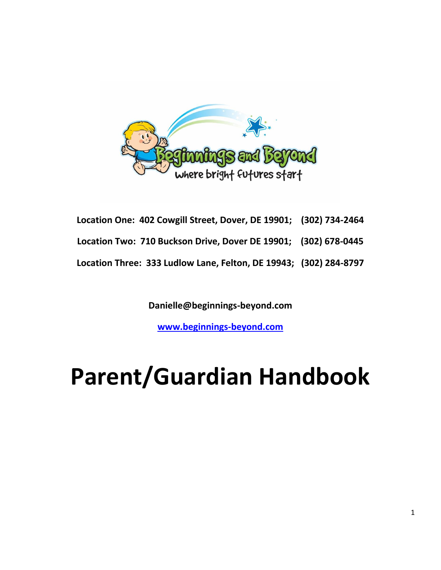

| Location One: 402 Cowgill Street, Dover, DE 19901; (302) 734-2464 |  |
|-------------------------------------------------------------------|--|
| Location Two: 710 Buckson Drive, Dover DE 19901; (302) 678-0445   |  |
| Location Three: 333 Ludlow Lane, Felton, DE 19943; (302) 284-8797 |  |

**Danielle@beginnings-beyond.com**

**[www.beginnings-beyond.com](http://www.beginningsandbeyond.com/)**

# **Parent/Guardian Handbook**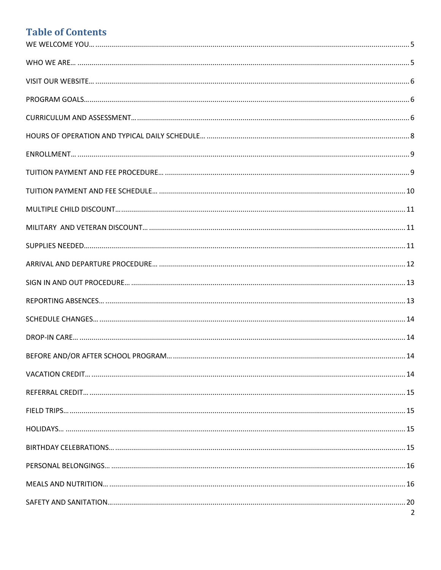# **Table of Contents**

| 2 |
|---|
|   |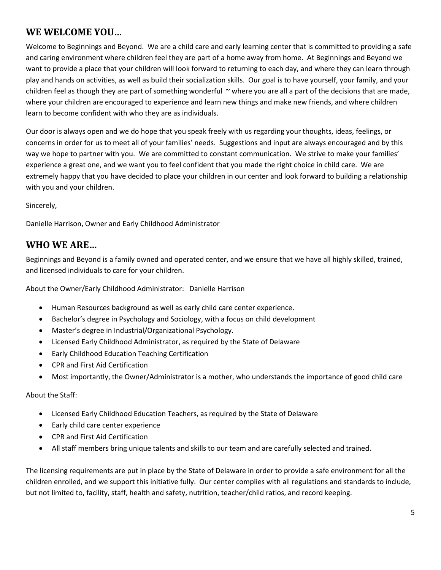# <span id="page-4-0"></span>**WE WELCOME YOU…**

Welcome to Beginnings and Beyond. We are a child care and early learning center that is committed to providing a safe and caring environment where children feel they are part of a home away from home. At Beginnings and Beyond we want to provide a place that your children will look forward to returning to each day, and where they can learn through play and hands on activities, as well as build their socialization skills. Our goal is to have yourself, your family, and your children feel as though they are part of something wonderful  $\sim$  where you are all a part of the decisions that are made, where your children are encouraged to experience and learn new things and make new friends, and where children learn to become confident with who they are as individuals.

Our door is always open and we do hope that you speak freely with us regarding your thoughts, ideas, feelings, or concerns in order for us to meet all of your families' needs. Suggestions and input are always encouraged and by this way we hope to partner with you. We are committed to constant communication. We strive to make your families' experience a great one, and we want you to feel confident that you made the right choice in child care. We are extremely happy that you have decided to place your children in our center and look forward to building a relationship with you and your children.

Sincerely,

Danielle Harrison, Owner and Early Childhood Administrator

### <span id="page-4-1"></span>**WHO WE ARE…**

Beginnings and Beyond is a family owned and operated center, and we ensure that we have all highly skilled, trained, and licensed individuals to care for your children.

About the Owner/Early Childhood Administrator: Danielle Harrison

- Human Resources background as well as early child care center experience.
- Bachelor's degree in Psychology and Sociology, with a focus on child development
- Master's degree in Industrial/Organizational Psychology.
- Licensed Early Childhood Administrator, as required by the State of Delaware
- Early Childhood Education Teaching Certification
- CPR and First Aid Certification
- Most importantly, the Owner/Administrator is a mother, who understands the importance of good child care

#### About the Staff:

- Licensed Early Childhood Education Teachers, as required by the State of Delaware
- Early child care center experience
- CPR and First Aid Certification
- All staff members bring unique talents and skills to our team and are carefully selected and trained.

The licensing requirements are put in place by the State of Delaware in order to provide a safe environment for all the children enrolled, and we support this initiative fully. Our center complies with all regulations and standards to include, but not limited to, facility, staff, health and safety, nutrition, teacher/child ratios, and record keeping.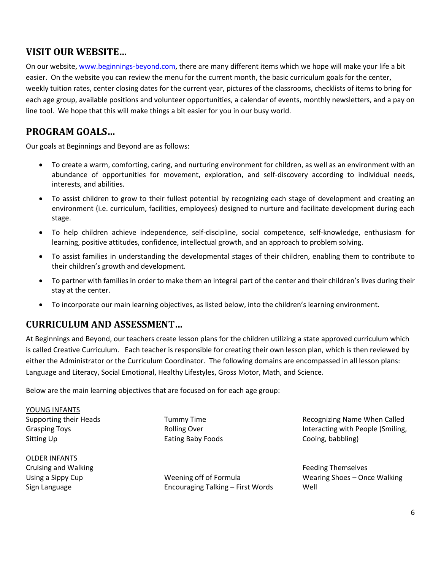# <span id="page-5-0"></span>**VISIT OUR WEBSITE…**

On our website, [www.beginnings-beyond.com,](http://www.beginningsandbeyond.com/) there are many different items which we hope will make your life a bit easier. On the website you can review the menu for the current month, the basic curriculum goals for the center, weekly tuition rates, center closing dates for the current year, pictures of the classrooms, checklists of items to bring for each age group, available positions and volunteer opportunities, a calendar of events, monthly newsletters, and a pay on line tool. We hope that this will make things a bit easier for you in our busy world.

# <span id="page-5-1"></span>**PROGRAM GOALS…**

Our goals at Beginnings and Beyond are as follows:

- To create a warm, comforting, caring, and nurturing environment for children, as well as an environment with an abundance of opportunities for movement, exploration, and self-discovery according to individual needs, interests, and abilities.
- To assist children to grow to their fullest potential by recognizing each stage of development and creating an environment (i.e. curriculum, facilities, employees) designed to nurture and facilitate development during each stage.
- To help children achieve independence, self-discipline, social competence, self-knowledge, enthusiasm for learning, positive attitudes, confidence, intellectual growth, and an approach to problem solving.
- To assist families in understanding the developmental stages of their children, enabling them to contribute to their children's growth and development.
- To partner with families in order to make them an integral part of the center and their children's lives during their stay at the center.
- To incorporate our main learning objectives, as listed below, into the children's learning environment.

### <span id="page-5-2"></span>**CURRICULUM AND ASSESSMENT…**

At Beginnings and Beyond, our teachers create lesson plans for the children utilizing a state approved curriculum which is called Creative Curriculum. Each teacher is responsible for creating their own lesson plan, which is then reviewed by either the Administrator or the Curriculum Coordinator. The following domains are encompassed in all lesson plans: Language and Literacy, Social Emotional, Healthy Lifestyles, Gross Motor, Math, and Science.

Below are the main learning objectives that are focused on for each age group:

YOUNG INFANTS Supporting their Heads Grasping Toys Sitting Up

OLDER INFANTS Cruising and Walking Using a Sippy Cup Sign Language

Tummy Time Rolling Over Eating Baby Foods

Weening off of Formula Encouraging Talking – First Words

Recognizing Name When Called Interacting with People (Smiling, Cooing, babbling)

Feeding Themselves Wearing Shoes – Once Walking Well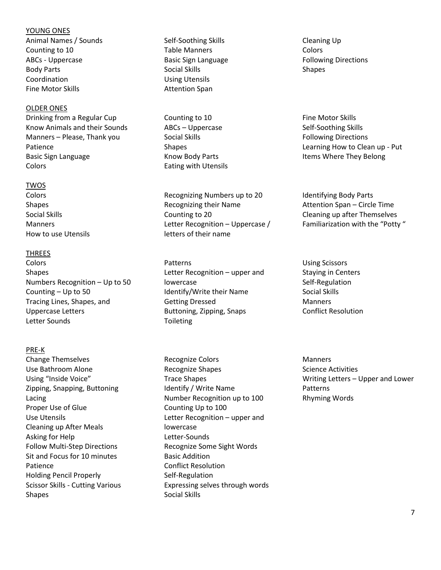#### YOUNG ONES

Animal Names / Sounds Counting to 10 ABCs - Uppercase Body Parts Coordination Fine Motor Skills

#### OLDER ONES

Drinking from a Regular Cup Know Animals and their Sounds Manners – Please, Thank you Patience Basic Sign Language Colors

#### TWOS

Colors Shapes Social Skills Manners How to use Utensils

#### THREES

Colors Shapes Numbers Recognition – Up to 50 Counting – Up to 50 Tracing Lines, Shapes, and Uppercase Letters Letter Sounds

#### PRE-K

Change Themselves Use Bathroom Alone Using "Inside Voice" Zipping, Snapping, Buttoning Lacing Proper Use of Glue Use Utensils Cleaning up After Meals Asking for Help Follow Multi-Step Directions Sit and Focus for 10 minutes Patience Holding Pencil Properly Scissor Skills - Cutting Various Shapes

Self-Soothing Skills Table Manners Basic Sign Language Social Skills Using Utensils Attention Span

Counting to 10 ABCs – Uppercase Social Skills Shapes Know Body Parts Eating with Utensils

Recognizing Numbers up to 20 Recognizing their Name Counting to 20 Letter Recognition – Uppercase / letters of their name

Patterns Letter Recognition – upper and lowercase Identify/Write their Name Getting Dressed Buttoning, Zipping, Snaps Toileting

Recognize Colors Recognize Shapes Trace Shapes Identify / Write Name Number Recognition up to 100 Counting Up to 100 Letter Recognition – upper and lowercase Letter-Sounds Recognize Some Sight Words Basic Addition Conflict Resolution Self-Regulation Expressing selves through words Social Skills

Cleaning Up Colors Following Directions Shapes

Fine Motor Skills Self-Soothing Skills Following Directions Learning How to Clean up - Put Items Where They Belong

Identifying Body Parts Attention Span – Circle Time Cleaning up after Themselves Familiarization with the "Potty "

Using Scissors Staying in Centers Self-Regulation Social Skills Manners Conflict Resolution

**Manners** Science Activities Writing Letters – Upper and Lower Patterns Rhyming Words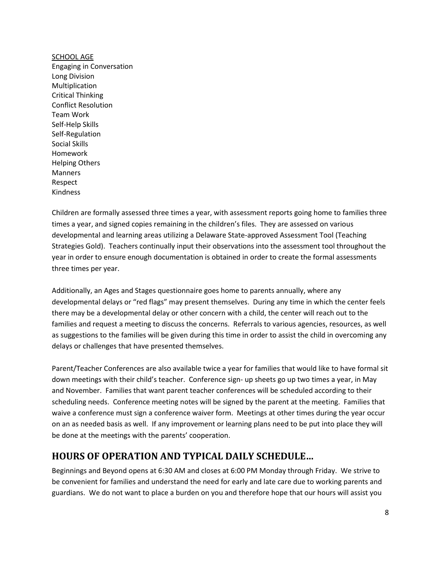SCHOOL AGE Engaging in Conversation Long Division Multiplication Critical Thinking Conflict Resolution Team Work Self-Help Skills Self-Regulation Social Skills Homework Helping Others Manners Respect Kindness

Children are formally assessed three times a year, with assessment reports going home to families three times a year, and signed copies remaining in the children's files. They are assessed on various developmental and learning areas utilizing a Delaware State-approved Assessment Tool (Teaching Strategies Gold). Teachers continually input their observations into the assessment tool throughout the year in order to ensure enough documentation is obtained in order to create the formal assessments three times per year.

Additionally, an Ages and Stages questionnaire goes home to parents annually, where any developmental delays or "red flags" may present themselves. During any time in which the center feels there may be a developmental delay or other concern with a child, the center will reach out to the families and request a meeting to discuss the concerns. Referrals to various agencies, resources, as well as suggestions to the families will be given during this time in order to assist the child in overcoming any delays or challenges that have presented themselves.

Parent/Teacher Conferences are also available twice a year for families that would like to have formal sit down meetings with their child's teacher. Conference sign- up sheets go up two times a year, in May and November. Families that want parent teacher conferences will be scheduled according to their scheduling needs. Conference meeting notes will be signed by the parent at the meeting. Families that waive a conference must sign a conference waiver form. Meetings at other times during the year occur on an as needed basis as well. If any improvement or learning plans need to be put into place they will be done at the meetings with the parents' cooperation.

# <span id="page-7-0"></span>**HOURS OF OPERATION AND TYPICAL DAILY SCHEDULE…**

Beginnings and Beyond opens at 6:30 AM and closes at 6:00 PM Monday through Friday. We strive to be convenient for families and understand the need for early and late care due to working parents and guardians. We do not want to place a burden on you and therefore hope that our hours will assist you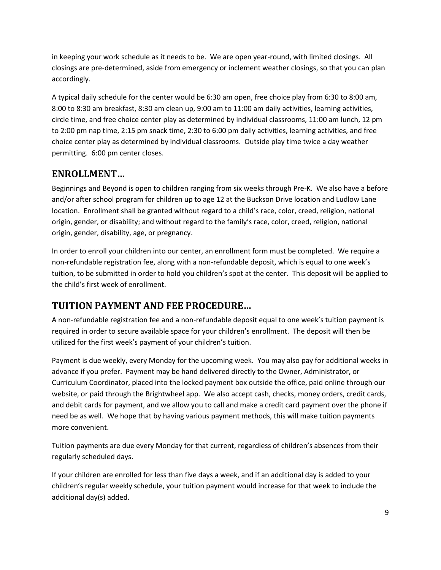in keeping your work schedule as it needs to be. We are open year-round, with limited closings. All closings are pre-determined, aside from emergency or inclement weather closings, so that you can plan accordingly.

A typical daily schedule for the center would be 6:30 am open, free choice play from 6:30 to 8:00 am, 8:00 to 8:30 am breakfast, 8:30 am clean up, 9:00 am to 11:00 am daily activities, learning activities, circle time, and free choice center play as determined by individual classrooms, 11:00 am lunch, 12 pm to 2:00 pm nap time, 2:15 pm snack time, 2:30 to 6:00 pm daily activities, learning activities, and free choice center play as determined by individual classrooms. Outside play time twice a day weather permitting. 6:00 pm center closes.

# <span id="page-8-0"></span>**ENROLLMENT…**

Beginnings and Beyond is open to children ranging from six weeks through Pre-K. We also have a before and/or after school program for children up to age 12 at the Buckson Drive location and Ludlow Lane location. Enrollment shall be granted without regard to a child's race, color, creed, religion, national origin, gender, or disability; and without regard to the family's race, color, creed, religion, national origin, gender, disability, age, or pregnancy.

In order to enroll your children into our center, an enrollment form must be completed. We require a non-refundable registration fee, along with a non-refundable deposit, which is equal to one week's tuition, to be submitted in order to hold you children's spot at the center. This deposit will be applied to the child's first week of enrollment.

# <span id="page-8-1"></span>**TUITION PAYMENT AND FEE PROCEDURE…**

A non-refundable registration fee and a non-refundable deposit equal to one week's tuition payment is required in order to secure available space for your children's enrollment. The deposit will then be utilized for the first week's payment of your children's tuition.

Payment is due weekly, every Monday for the upcoming week. You may also pay for additional weeks in advance if you prefer. Payment may be hand delivered directly to the Owner, Administrator, or Curriculum Coordinator, placed into the locked payment box outside the office, paid online through our website, or paid through the Brightwheel app. We also accept cash, checks, money orders, credit cards, and debit cards for payment, and we allow you to call and make a credit card payment over the phone if need be as well. We hope that by having various payment methods, this will make tuition payments more convenient.

Tuition payments are due every Monday for that current, regardless of children's absences from their regularly scheduled days.

If your children are enrolled for less than five days a week, and if an additional day is added to your children's regular weekly schedule, your tuition payment would increase for that week to include the additional day(s) added.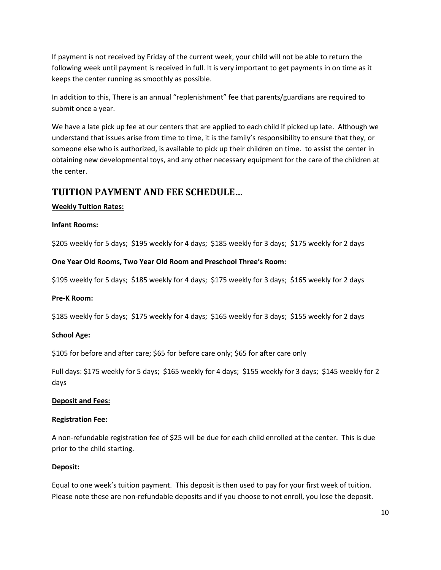If payment is not received by Friday of the current week, your child will not be able to return the following week until payment is received in full. It is very important to get payments in on time as it keeps the center running as smoothly as possible.

In addition to this, There is an annual "replenishment" fee that parents/guardians are required to submit once a year.

We have a late pick up fee at our centers that are applied to each child if picked up late. Although we understand that issues arise from time to time, it is the family's responsibility to ensure that they, or someone else who is authorized, is available to pick up their children on time. to assist the center in obtaining new developmental toys, and any other necessary equipment for the care of the children at the center.

#### <span id="page-9-0"></span>**TUITION PAYMENT AND FEE SCHEDULE…**

#### **Weekly Tuition Rates:**

#### **Infant Rooms:**

\$205 weekly for 5 days; \$195 weekly for 4 days; \$185 weekly for 3 days; \$175 weekly for 2 days

#### **One Year Old Rooms, Two Year Old Room and Preschool Three's Room:**

\$195 weekly for 5 days; \$185 weekly for 4 days; \$175 weekly for 3 days; \$165 weekly for 2 days

#### **Pre-K Room:**

\$185 weekly for 5 days; \$175 weekly for 4 days; \$165 weekly for 3 days; \$155 weekly for 2 days

#### **School Age:**

\$105 for before and after care; \$65 for before care only; \$65 for after care only

Full days: \$175 weekly for 5 days; \$165 weekly for 4 days; \$155 weekly for 3 days; \$145 weekly for 2 days

#### **Deposit and Fees:**

#### **Registration Fee:**

A non-refundable registration fee of \$25 will be due for each child enrolled at the center. This is due prior to the child starting.

#### **Deposit:**

Equal to one week's tuition payment. This deposit is then used to pay for your first week of tuition. Please note these are non-refundable deposits and if you choose to not enroll, you lose the deposit.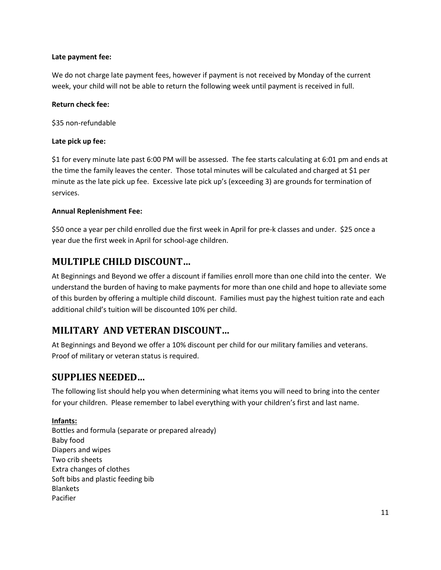#### **Late payment fee:**

We do not charge late payment fees, however if payment is not received by Monday of the current week, your child will not be able to return the following week until payment is received in full.

#### **Return check fee:**

\$35 non-refundable

#### **Late pick up fee:**

\$1 for every minute late past 6:00 PM will be assessed. The fee starts calculating at 6:01 pm and ends at the time the family leaves the center. Those total minutes will be calculated and charged at \$1 per minute as the late pick up fee. Excessive late pick up's (exceeding 3) are grounds for termination of services.

#### **Annual Replenishment Fee:**

\$50 once a year per child enrolled due the first week in April for pre-k classes and under. \$25 once a year due the first week in April for school-age children.

### <span id="page-10-0"></span>**MULTIPLE CHILD DISCOUNT…**

At Beginnings and Beyond we offer a discount if families enroll more than one child into the center. We understand the burden of having to make payments for more than one child and hope to alleviate some of this burden by offering a multiple child discount. Families must pay the highest tuition rate and each additional child's tuition will be discounted 10% per child.

# <span id="page-10-1"></span>**MILITARY AND VETERAN DISCOUNT…**

At Beginnings and Beyond we offer a 10% discount per child for our military families and veterans. Proof of military or veteran status is required.

# <span id="page-10-2"></span>**SUPPLIES NEEDED…**

The following list should help you when determining what items you will need to bring into the center for your children. Please remember to label everything with your children's first and last name.

#### **Infants:**

Bottles and formula (separate or prepared already) Baby food Diapers and wipes Two crib sheets Extra changes of clothes Soft bibs and plastic feeding bib Blankets Pacifier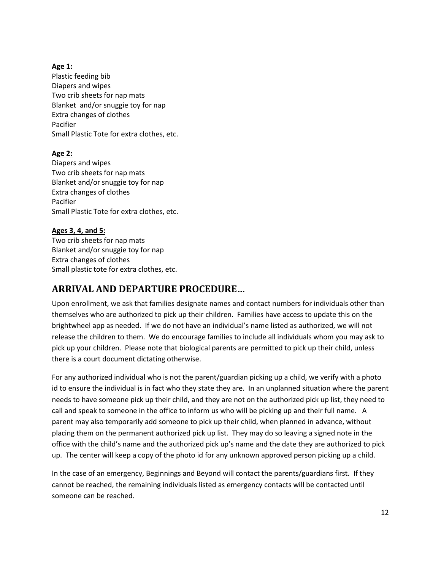#### **Age 1:**

Plastic feeding bib Diapers and wipes Two crib sheets for nap mats Blanket and/or snuggie toy for nap Extra changes of clothes Pacifier Small Plastic Tote for extra clothes, etc.

#### **Age 2:**

Diapers and wipes Two crib sheets for nap mats Blanket and/or snuggie toy for nap Extra changes of clothes Pacifier Small Plastic Tote for extra clothes, etc.

#### **Ages 3, 4, and 5:**

Two crib sheets for nap mats Blanket and/or snuggie toy for nap Extra changes of clothes Small plastic tote for extra clothes, etc.

### <span id="page-11-0"></span>**ARRIVAL AND DEPARTURE PROCEDURE…**

Upon enrollment, we ask that families designate names and contact numbers for individuals other than themselves who are authorized to pick up their children. Families have access to update this on the brightwheel app as needed. If we do not have an individual's name listed as authorized, we will not release the children to them. We do encourage families to include all individuals whom you may ask to pick up your children. Please note that biological parents are permitted to pick up their child, unless there is a court document dictating otherwise.

For any authorized individual who is not the parent/guardian picking up a child, we verify with a photo id to ensure the individual is in fact who they state they are. In an unplanned situation where the parent needs to have someone pick up their child, and they are not on the authorized pick up list, they need to call and speak to someone in the office to inform us who will be picking up and their full name. A parent may also temporarily add someone to pick up their child, when planned in advance, without placing them on the permanent authorized pick up list. They may do so leaving a signed note in the office with the child's name and the authorized pick up's name and the date they are authorized to pick up. The center will keep a copy of the photo id for any unknown approved person picking up a child.

In the case of an emergency, Beginnings and Beyond will contact the parents/guardians first. If they cannot be reached, the remaining individuals listed as emergency contacts will be contacted until someone can be reached.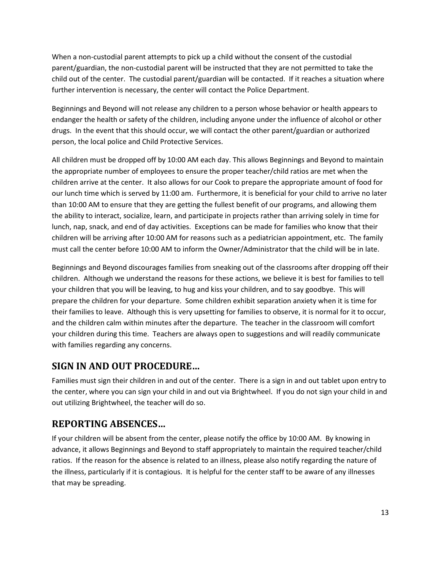When a non-custodial parent attempts to pick up a child without the consent of the custodial parent/guardian, the non-custodial parent will be instructed that they are not permitted to take the child out of the center. The custodial parent/guardian will be contacted. If it reaches a situation where further intervention is necessary, the center will contact the Police Department.

Beginnings and Beyond will not release any children to a person whose behavior or health appears to endanger the health or safety of the children, including anyone under the influence of alcohol or other drugs. In the event that this should occur, we will contact the other parent/guardian or authorized person, the local police and Child Protective Services.

All children must be dropped off by 10:00 AM each day. This allows Beginnings and Beyond to maintain the appropriate number of employees to ensure the proper teacher/child ratios are met when the children arrive at the center. It also allows for our Cook to prepare the appropriate amount of food for our lunch time which is served by 11:00 am. Furthermore, it is beneficial for your child to arrive no later than 10:00 AM to ensure that they are getting the fullest benefit of our programs, and allowing them the ability to interact, socialize, learn, and participate in projects rather than arriving solely in time for lunch, nap, snack, and end of day activities. Exceptions can be made for families who know that their children will be arriving after 10:00 AM for reasons such as a pediatrician appointment, etc. The family must call the center before 10:00 AM to inform the Owner/Administrator that the child will be in late.

Beginnings and Beyond discourages families from sneaking out of the classrooms after dropping off their children. Although we understand the reasons for these actions, we believe it is best for families to tell your children that you will be leaving, to hug and kiss your children, and to say goodbye. This will prepare the children for your departure. Some children exhibit separation anxiety when it is time for their families to leave. Although this is very upsetting for families to observe, it is normal for it to occur, and the children calm within minutes after the departure. The teacher in the classroom will comfort your children during this time. Teachers are always open to suggestions and will readily communicate with families regarding any concerns.

### <span id="page-12-0"></span>**SIGN IN AND OUT PROCEDURE…**

Families must sign their children in and out of the center. There is a sign in and out tablet upon entry to the center, where you can sign your child in and out via Brightwheel. If you do not sign your child in and out utilizing Brightwheel, the teacher will do so.

# <span id="page-12-1"></span>**REPORTING ABSENCES…**

If your children will be absent from the center, please notify the office by 10:00 AM. By knowing in advance, it allows Beginnings and Beyond to staff appropriately to maintain the required teacher/child ratios. If the reason for the absence is related to an illness, please also notify regarding the nature of the illness, particularly if it is contagious. It is helpful for the center staff to be aware of any illnesses that may be spreading.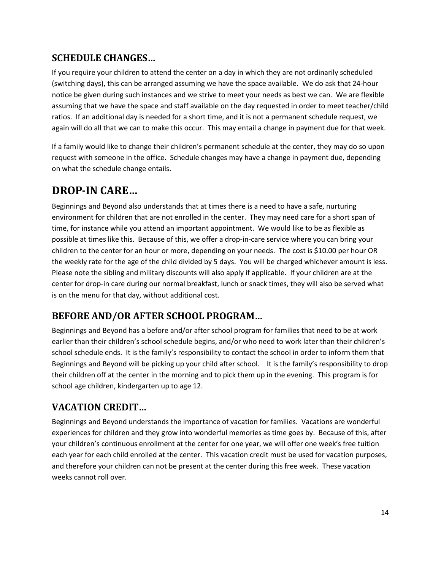# <span id="page-13-0"></span>**SCHEDULE CHANGES…**

If you require your children to attend the center on a day in which they are not ordinarily scheduled (switching days), this can be arranged assuming we have the space available. We do ask that 24-hour notice be given during such instances and we strive to meet your needs as best we can. We are flexible assuming that we have the space and staff available on the day requested in order to meet teacher/child ratios. If an additional day is needed for a short time, and it is not a permanent schedule request, we again will do all that we can to make this occur. This may entail a change in payment due for that week.

If a family would like to change their children's permanent schedule at the center, they may do so upon request with someone in the office. Schedule changes may have a change in payment due, depending on what the schedule change entails.

# <span id="page-13-1"></span>**DROP-IN CARE…**

Beginnings and Beyond also understands that at times there is a need to have a safe, nurturing environment for children that are not enrolled in the center. They may need care for a short span of time, for instance while you attend an important appointment. We would like to be as flexible as possible at times like this. Because of this, we offer a drop-in-care service where you can bring your children to the center for an hour or more, depending on your needs. The cost is \$10.00 per hour OR the weekly rate for the age of the child divided by 5 days. You will be charged whichever amount is less. Please note the sibling and military discounts will also apply if applicable. If your children are at the center for drop-in care during our normal breakfast, lunch or snack times, they will also be served what is on the menu for that day, without additional cost.

# <span id="page-13-2"></span>**BEFORE AND/OR AFTER SCHOOL PROGRAM…**

Beginnings and Beyond has a before and/or after school program for families that need to be at work earlier than their children's school schedule begins, and/or who need to work later than their children's school schedule ends. It is the family's responsibility to contact the school in order to inform them that Beginnings and Beyond will be picking up your child after school. It is the family's responsibility to drop their children off at the center in the morning and to pick them up in the evening. This program is for school age children, kindergarten up to age 12.

# <span id="page-13-3"></span>**VACATION CREDIT…**

Beginnings and Beyond understands the importance of vacation for families. Vacations are wonderful experiences for children and they grow into wonderful memories as time goes by. Because of this, after your children's continuous enrollment at the center for one year, we will offer one week's free tuition each year for each child enrolled at the center. This vacation credit must be used for vacation purposes, and therefore your children can not be present at the center during this free week. These vacation weeks cannot roll over.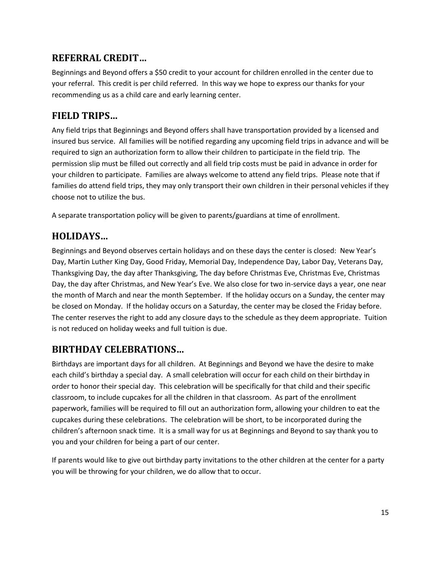# <span id="page-14-0"></span>**REFERRAL CREDIT…**

Beginnings and Beyond offers a \$50 credit to your account for children enrolled in the center due to your referral. This credit is per child referred. In this way we hope to express our thanks for your recommending us as a child care and early learning center.

### <span id="page-14-1"></span>**FIELD TRIPS…**

Any field trips that Beginnings and Beyond offers shall have transportation provided by a licensed and insured bus service. All families will be notified regarding any upcoming field trips in advance and will be required to sign an authorization form to allow their children to participate in the field trip. The permission slip must be filled out correctly and all field trip costs must be paid in advance in order for your children to participate. Families are always welcome to attend any field trips. Please note that if families do attend field trips, they may only transport their own children in their personal vehicles if they choose not to utilize the bus.

A separate transportation policy will be given to parents/guardians at time of enrollment.

### <span id="page-14-2"></span>**HOLIDAYS…**

Beginnings and Beyond observes certain holidays and on these days the center is closed: New Year's Day, Martin Luther King Day, Good Friday, Memorial Day, Independence Day, Labor Day, Veterans Day, Thanksgiving Day, the day after Thanksgiving, The day before Christmas Eve, Christmas Eve, Christmas Day, the day after Christmas, and New Year's Eve. We also close for two in-service days a year, one near the month of March and near the month September. If the holiday occurs on a Sunday, the center may be closed on Monday. If the holiday occurs on a Saturday, the center may be closed the Friday before. The center reserves the right to add any closure days to the schedule as they deem appropriate. Tuition is not reduced on holiday weeks and full tuition is due.

# <span id="page-14-3"></span>**BIRTHDAY CELEBRATIONS…**

Birthdays are important days for all children. At Beginnings and Beyond we have the desire to make each child's birthday a special day. A small celebration will occur for each child on their birthday in order to honor their special day. This celebration will be specifically for that child and their specific classroom, to include cupcakes for all the children in that classroom. As part of the enrollment paperwork, families will be required to fill out an authorization form, allowing your children to eat the cupcakes during these celebrations. The celebration will be short, to be incorporated during the children's afternoon snack time. It is a small way for us at Beginnings and Beyond to say thank you to you and your children for being a part of our center.

If parents would like to give out birthday party invitations to the other children at the center for a party you will be throwing for your children, we do allow that to occur.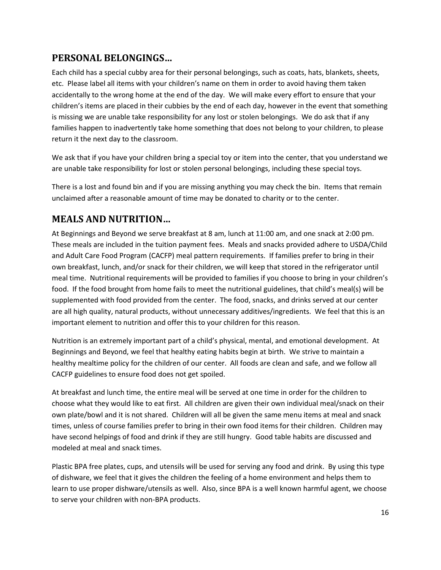# <span id="page-15-0"></span>**PERSONAL BELONGINGS…**

Each child has a special cubby area for their personal belongings, such as coats, hats, blankets, sheets, etc. Please label all items with your children's name on them in order to avoid having them taken accidentally to the wrong home at the end of the day. We will make every effort to ensure that your children's items are placed in their cubbies by the end of each day, however in the event that something is missing we are unable take responsibility for any lost or stolen belongings. We do ask that if any families happen to inadvertently take home something that does not belong to your children, to please return it the next day to the classroom.

We ask that if you have your children bring a special toy or item into the center, that you understand we are unable take responsibility for lost or stolen personal belongings, including these special toys.

There is a lost and found bin and if you are missing anything you may check the bin. Items that remain unclaimed after a reasonable amount of time may be donated to charity or to the center.

# <span id="page-15-1"></span>**MEALS AND NUTRITION…**

At Beginnings and Beyond we serve breakfast at 8 am, lunch at 11:00 am, and one snack at 2:00 pm. These meals are included in the tuition payment fees. Meals and snacks provided adhere to USDA/Child and Adult Care Food Program (CACFP) meal pattern requirements. If families prefer to bring in their own breakfast, lunch, and/or snack for their children, we will keep that stored in the refrigerator until meal time. Nutritional requirements will be provided to families if you choose to bring in your children's food. If the food brought from home fails to meet the nutritional guidelines, that child's meal(s) will be supplemented with food provided from the center. The food, snacks, and drinks served at our center are all high quality, natural products, without unnecessary additives/ingredients. We feel that this is an important element to nutrition and offer this to your children for this reason.

Nutrition is an extremely important part of a child's physical, mental, and emotional development. At Beginnings and Beyond, we feel that healthy eating habits begin at birth. We strive to maintain a healthy mealtime policy for the children of our center. All foods are clean and safe, and we follow all CACFP guidelines to ensure food does not get spoiled.

At breakfast and lunch time, the entire meal will be served at one time in order for the children to choose what they would like to eat first. All children are given their own individual meal/snack on their own plate/bowl and it is not shared. Children will all be given the same menu items at meal and snack times, unless of course families prefer to bring in their own food items for their children. Children may have second helpings of food and drink if they are still hungry. Good table habits are discussed and modeled at meal and snack times.

Plastic BPA free plates, cups, and utensils will be used for serving any food and drink. By using this type of dishware, we feel that it gives the children the feeling of a home environment and helps them to learn to use proper dishware/utensils as well. Also, since BPA is a well known harmful agent, we choose to serve your children with non-BPA products.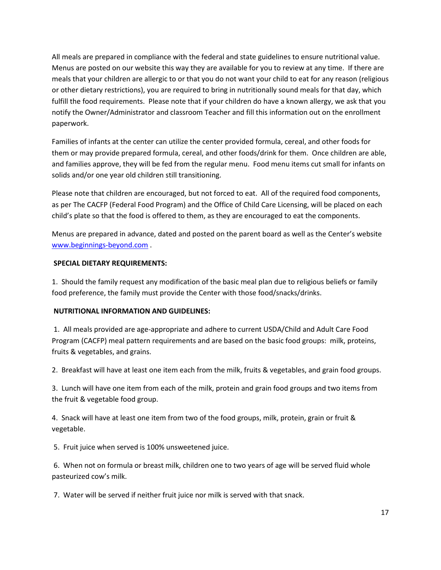All meals are prepared in compliance with the federal and state guidelines to ensure nutritional value. Menus are posted on our website this way they are available for you to review at any time. If there are meals that your children are allergic to or that you do not want your child to eat for any reason (religious or other dietary restrictions), you are required to bring in nutritionally sound meals for that day, which fulfill the food requirements. Please note that if your children do have a known allergy, we ask that you notify the Owner/Administrator and classroom Teacher and fill this information out on the enrollment paperwork.

Families of infants at the center can utilize the center provided formula, cereal, and other foods for them or may provide prepared formula, cereal, and other foods/drink for them. Once children are able, and families approve, they will be fed from the regular menu. Food menu items cut small for infants on solids and/or one year old children still transitioning.

Please note that children are encouraged, but not forced to eat. All of the required food components, as per The CACFP (Federal Food Program) and the Office of Child Care Licensing, will be placed on each child's plate so that the food is offered to them, as they are encouraged to eat the components.

Menus are prepared in advance, dated and posted on the parent board as well as the Center's website [www.beginnings-beyond.com](http://www.beginnings-beyond.com/) .

#### **SPECIAL DIETARY REQUIREMENTS:**

1. Should the family request any modification of the basic meal plan due to religious beliefs or family food preference, the family must provide the Center with those food/snacks/drinks.

#### **NUTRITIONAL INFORMATION AND GUIDELINES:**

1. All meals provided are age-appropriate and adhere to current USDA/Child and Adult Care Food Program (CACFP) meal pattern requirements and are based on the basic food groups: milk, proteins, fruits & vegetables, and grains.

2. Breakfast will have at least one item each from the milk, fruits & vegetables, and grain food groups.

3. Lunch will have one item from each of the milk, protein and grain food groups and two items from the fruit & vegetable food group.

4. Snack will have at least one item from two of the food groups, milk, protein, grain or fruit & vegetable.

5. Fruit juice when served is 100% unsweetened juice.

6. When not on formula or breast milk, children one to two years of age will be served fluid whole pasteurized cow's milk.

7. Water will be served if neither fruit juice nor milk is served with that snack.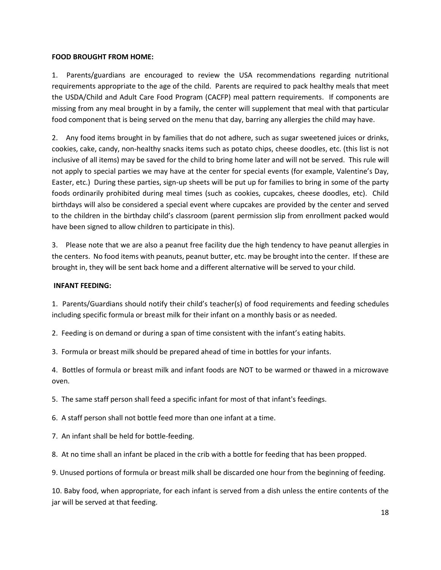#### **FOOD BROUGHT FROM HOME:**

1. Parents/guardians are encouraged to review the USA recommendations regarding nutritional requirements appropriate to the age of the child. Parents are required to pack healthy meals that meet the USDA/Child and Adult Care Food Program (CACFP) meal pattern requirements. If components are missing from any meal brought in by a family, the center will supplement that meal with that particular food component that is being served on the menu that day, barring any allergies the child may have.

2. Any food items brought in by families that do not adhere, such as sugar sweetened juices or drinks, cookies, cake, candy, non-healthy snacks items such as potato chips, cheese doodles, etc. (this list is not inclusive of all items) may be saved for the child to bring home later and will not be served. This rule will not apply to special parties we may have at the center for special events (for example, Valentine's Day, Easter, etc.) During these parties, sign-up sheets will be put up for families to bring in some of the party foods ordinarily prohibited during meal times (such as cookies, cupcakes, cheese doodles, etc). Child birthdays will also be considered a special event where cupcakes are provided by the center and served to the children in the birthday child's classroom (parent permission slip from enrollment packed would have been signed to allow children to participate in this).

3. Please note that we are also a peanut free facility due the high tendency to have peanut allergies in the centers. No food items with peanuts, peanut butter, etc. may be brought into the center. If these are brought in, they will be sent back home and a different alternative will be served to your child.

#### **INFANT FEEDING:**

1. Parents/Guardians should notify their child's teacher(s) of food requirements and feeding schedules including specific formula or breast milk for their infant on a monthly basis or as needed.

2. Feeding is on demand or during a span of time consistent with the infant's eating habits.

3. Formula or breast milk should be prepared ahead of time in bottles for your infants.

4. Bottles of formula or breast milk and infant foods are NOT to be warmed or thawed in a microwave oven.

5. The same staff person shall feed a specific infant for most of that infant's feedings.

6. A staff person shall not bottle feed more than one infant at a time.

7. An infant shall be held for bottle-feeding.

8. At no time shall an infant be placed in the crib with a bottle for feeding that has been propped.

9. Unused portions of formula or breast milk shall be discarded one hour from the beginning of feeding.

10. Baby food, when appropriate, for each infant is served from a dish unless the entire contents of the jar will be served at that feeding.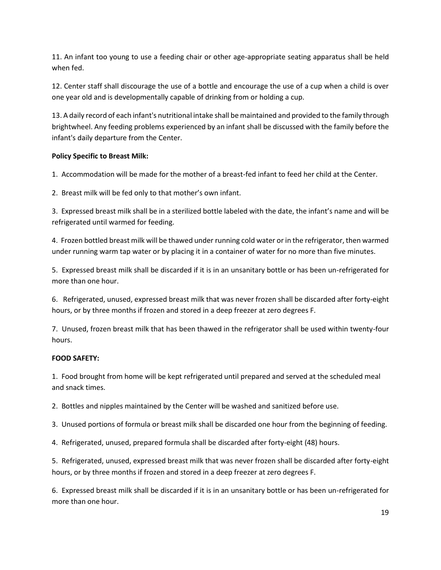11. An infant too young to use a feeding chair or other age-appropriate seating apparatus shall be held when fed.

12. Center staff shall discourage the use of a bottle and encourage the use of a cup when a child is over one year old and is developmentally capable of drinking from or holding a cup.

13. A daily record of each infant's nutritional intake shall be maintained and provided to the family through brightwheel. Any feeding problems experienced by an infant shall be discussed with the family before the infant's daily departure from the Center.

#### **Policy Specific to Breast Milk:**

1. Accommodation will be made for the mother of a breast-fed infant to feed her child at the Center.

2. Breast milk will be fed only to that mother's own infant.

3. Expressed breast milk shall be in a sterilized bottle labeled with the date, the infant's name and will be refrigerated until warmed for feeding.

4. Frozen bottled breast milk will be thawed under running cold water or in the refrigerator, then warmed under running warm tap water or by placing it in a container of water for no more than five minutes.

5. Expressed breast milk shall be discarded if it is in an unsanitary bottle or has been un-refrigerated for more than one hour.

6. Refrigerated, unused, expressed breast milk that was never frozen shall be discarded after forty-eight hours, or by three months if frozen and stored in a deep freezer at zero degrees F.

7. Unused, frozen breast milk that has been thawed in the refrigerator shall be used within twenty-four hours.

#### **FOOD SAFETY:**

1. Food brought from home will be kept refrigerated until prepared and served at the scheduled meal and snack times.

2. Bottles and nipples maintained by the Center will be washed and sanitized before use.

3. Unused portions of formula or breast milk shall be discarded one hour from the beginning of feeding.

4. Refrigerated, unused, prepared formula shall be discarded after forty-eight (48) hours.

5. Refrigerated, unused, expressed breast milk that was never frozen shall be discarded after forty-eight hours, or by three months if frozen and stored in a deep freezer at zero degrees F.

6. Expressed breast milk shall be discarded if it is in an unsanitary bottle or has been un-refrigerated for more than one hour.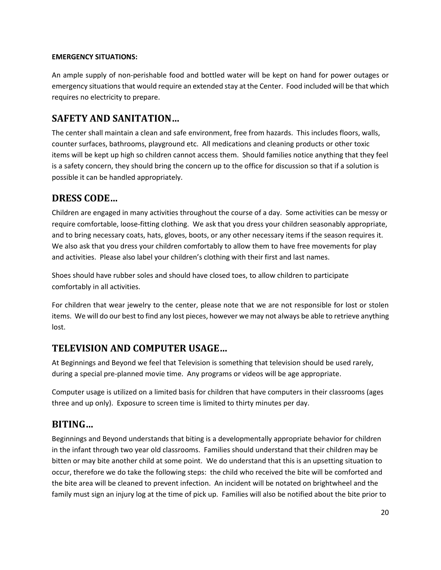#### **EMERGENCY SITUATIONS:**

An ample supply of non-perishable food and bottled water will be kept on hand for power outages or emergency situations that would require an extended stay at the Center. Food included will be that which requires no electricity to prepare.

# <span id="page-19-0"></span>**SAFETY AND SANITATION…**

The center shall maintain a clean and safe environment, free from hazards. This includes floors, walls, counter surfaces, bathrooms, playground etc. All medications and cleaning products or other toxic items will be kept up high so children cannot access them. Should families notice anything that they feel is a safety concern, they should bring the concern up to the office for discussion so that if a solution is possible it can be handled appropriately.

# <span id="page-19-1"></span>**DRESS CODE…**

Children are engaged in many activities throughout the course of a day. Some activities can be messy or require comfortable, loose-fitting clothing. We ask that you dress your children seasonably appropriate, and to bring necessary coats, hats, gloves, boots, or any other necessary items if the season requires it. We also ask that you dress your children comfortably to allow them to have free movements for play and activities. Please also label your children's clothing with their first and last names.

Shoes should have rubber soles and should have closed toes, to allow children to participate comfortably in all activities.

For children that wear jewelry to the center, please note that we are not responsible for lost or stolen items. We will do our best to find any lost pieces, however we may not always be able to retrieve anything lost.

# <span id="page-19-2"></span>**TELEVISION AND COMPUTER USAGE…**

At Beginnings and Beyond we feel that Television is something that television should be used rarely, during a special pre-planned movie time. Any programs or videos will be age appropriate.

Computer usage is utilized on a limited basis for children that have computers in their classrooms (ages three and up only). Exposure to screen time is limited to thirty minutes per day.

# <span id="page-19-3"></span>**BITING…**

Beginnings and Beyond understands that biting is a developmentally appropriate behavior for children in the infant through two year old classrooms. Families should understand that their children may be bitten or may bite another child at some point. We do understand that this is an upsetting situation to occur, therefore we do take the following steps: the child who received the bite will be comforted and the bite area will be cleaned to prevent infection. An incident will be notated on brightwheel and the family must sign an injury log at the time of pick up. Families will also be notified about the bite prior to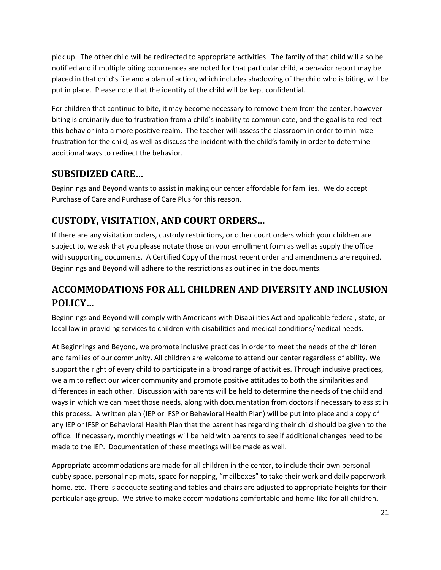pick up. The other child will be redirected to appropriate activities. The family of that child will also be notified and if multiple biting occurrences are noted for that particular child, a behavior report may be placed in that child's file and a plan of action, which includes shadowing of the child who is biting, will be put in place. Please note that the identity of the child will be kept confidential.

For children that continue to bite, it may become necessary to remove them from the center, however biting is ordinarily due to frustration from a child's inability to communicate, and the goal is to redirect this behavior into a more positive realm. The teacher will assess the classroom in order to minimize frustration for the child, as well as discuss the incident with the child's family in order to determine additional ways to redirect the behavior.

# <span id="page-20-0"></span>**SUBSIDIZED CARE…**

Beginnings and Beyond wants to assist in making our center affordable for families. We do accept Purchase of Care and Purchase of Care Plus for this reason.

# <span id="page-20-1"></span>**CUSTODY, VISITATION, AND COURT ORDERS…**

If there are any visitation orders, custody restrictions, or other court orders which your children are subject to, we ask that you please notate those on your enrollment form as well as supply the office with supporting documents. A Certified Copy of the most recent order and amendments are required. Beginnings and Beyond will adhere to the restrictions as outlined in the documents.

# <span id="page-20-2"></span>**ACCOMMODATIONS FOR ALL CHILDREN AND DIVERSITY AND INCLUSION POLICY…**

Beginnings and Beyond will comply with Americans with Disabilities Act and applicable federal, state, or local law in providing services to children with disabilities and medical conditions/medical needs.

At Beginnings and Beyond, we promote inclusive practices in order to meet the needs of the children and families of our community. All children are welcome to attend our center regardless of ability. We support the right of every child to participate in a broad range of activities. Through inclusive practices, we aim to reflect our wider community and promote positive attitudes to both the similarities and differences in each other. Discussion with parents will be held to determine the needs of the child and ways in which we can meet those needs, along with documentation from doctors if necessary to assist in this process. A written plan (IEP or IFSP or Behavioral Health Plan) will be put into place and a copy of any IEP or IFSP or Behavioral Health Plan that the parent has regarding their child should be given to the office. If necessary, monthly meetings will be held with parents to see if additional changes need to be made to the IEP. Documentation of these meetings will be made as well.

Appropriate accommodations are made for all children in the center, to include their own personal cubby space, personal nap mats, space for napping, "mailboxes" to take their work and daily paperwork home, etc. There is adequate seating and tables and chairs are adjusted to appropriate heights for their particular age group. We strive to make accommodations comfortable and home-like for all children.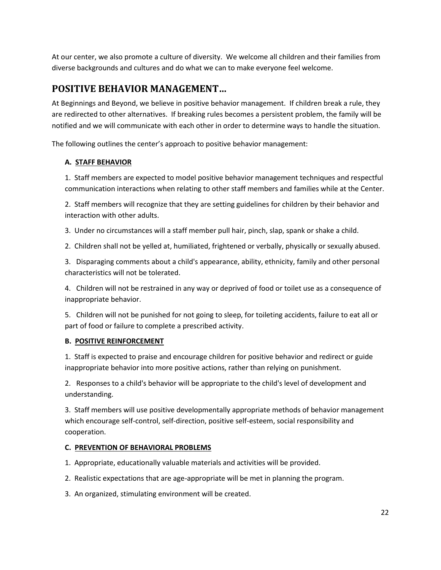At our center, we also promote a culture of diversity. We welcome all children and their families from diverse backgrounds and cultures and do what we can to make everyone feel welcome.

# <span id="page-21-0"></span>**POSITIVE BEHAVIOR MANAGEMENT…**

At Beginnings and Beyond, we believe in positive behavior management. If children break a rule, they are redirected to other alternatives. If breaking rules becomes a persistent problem, the family will be notified and we will communicate with each other in order to determine ways to handle the situation.

The following outlines the center's approach to positive behavior management:

#### **A. STAFF BEHAVIOR**

1. Staff members are expected to model positive behavior management techniques and respectful communication interactions when relating to other staff members and families while at the Center.

2. Staff members will recognize that they are setting guidelines for children by their behavior and interaction with other adults.

3. Under no circumstances will a staff member pull hair, pinch, slap, spank or shake a child.

2. Children shall not be yelled at, humiliated, frightened or verbally, physically or sexually abused.

3. Disparaging comments about a child's appearance, ability, ethnicity, family and other personal characteristics will not be tolerated.

4. Children will not be restrained in any way or deprived of food or toilet use as a consequence of inappropriate behavior.

5. Children will not be punished for not going to sleep, for toileting accidents, failure to eat all or part of food or failure to complete a prescribed activity.

#### **B. POSITIVE REINFORCEMENT**

1. Staff is expected to praise and encourage children for positive behavior and redirect or guide inappropriate behavior into more positive actions, rather than relying on punishment.

2. Responses to a child's behavior will be appropriate to the child's level of development and understanding.

3. Staff members will use positive developmentally appropriate methods of behavior management which encourage self-control, self-direction, positive self-esteem, social responsibility and cooperation.

#### **C. PREVENTION OF BEHAVIORAL PROBLEMS**

1. Appropriate, educationally valuable materials and activities will be provided.

- 2. Realistic expectations that are age-appropriate will be met in planning the program.
- 3. An organized, stimulating environment will be created.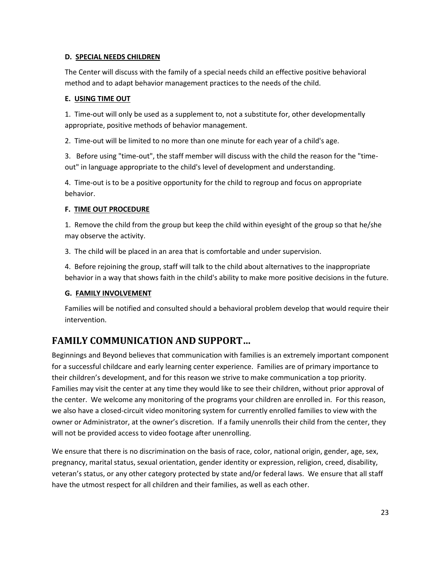#### **D. SPECIAL NEEDS CHILDREN**

The Center will discuss with the family of a special needs child an effective positive behavioral method and to adapt behavior management practices to the needs of the child.

#### **E. USING TIME OUT**

1. Time-out will only be used as a supplement to, not a substitute for, other developmentally appropriate, positive methods of behavior management.

2. Time-out will be limited to no more than one minute for each year of a child's age.

3. Before using "time-out", the staff member will discuss with the child the reason for the "timeout" in language appropriate to the child's level of development and understanding.

4. Time-out is to be a positive opportunity for the child to regroup and focus on appropriate behavior.

#### **F. TIME OUT PROCEDURE**

1. Remove the child from the group but keep the child within eyesight of the group so that he/she may observe the activity.

3. The child will be placed in an area that is comfortable and under supervision.

4. Before rejoining the group, staff will talk to the child about alternatives to the inappropriate behavior in a way that shows faith in the child's ability to make more positive decisions in the future.

#### **G. FAMILY INVOLVEMENT**

Families will be notified and consulted should a behavioral problem develop that would require their intervention.

# <span id="page-22-0"></span>**FAMILY COMMUNICATION AND SUPPORT…**

Beginnings and Beyond believes that communication with families is an extremely important component for a successful childcare and early learning center experience. Families are of primary importance to their children's development, and for this reason we strive to make communication a top priority. Families may visit the center at any time they would like to see their children, without prior approval of the center. We welcome any monitoring of the programs your children are enrolled in. For this reason, we also have a closed-circuit video monitoring system for currently enrolled families to view with the owner or Administrator, at the owner's discretion. If a family unenrolls their child from the center, they will not be provided access to video footage after unenrolling.

We ensure that there is no discrimination on the basis of race, color, national origin, gender, age, sex, pregnancy, marital status, sexual orientation, gender identity or expression, religion, creed, disability, veteran's status, or any other category protected by state and/or federal laws. We ensure that all staff have the utmost respect for all children and their families, as well as each other.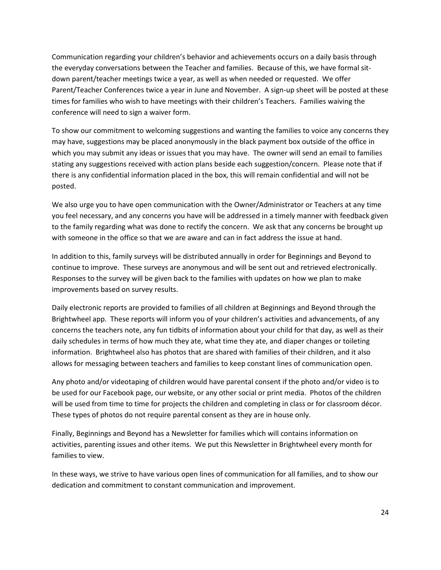Communication regarding your children's behavior and achievements occurs on a daily basis through the everyday conversations between the Teacher and families. Because of this, we have formal sitdown parent/teacher meetings twice a year, as well as when needed or requested. We offer Parent/Teacher Conferences twice a year in June and November. A sign-up sheet will be posted at these times for families who wish to have meetings with their children's Teachers. Families waiving the conference will need to sign a waiver form.

To show our commitment to welcoming suggestions and wanting the families to voice any concerns they may have, suggestions may be placed anonymously in the black payment box outside of the office in which you may submit any ideas or issues that you may have. The owner will send an email to families stating any suggestions received with action plans beside each suggestion/concern. Please note that if there is any confidential information placed in the box, this will remain confidential and will not be posted.

We also urge you to have open communication with the Owner/Administrator or Teachers at any time you feel necessary, and any concerns you have will be addressed in a timely manner with feedback given to the family regarding what was done to rectify the concern. We ask that any concerns be brought up with someone in the office so that we are aware and can in fact address the issue at hand.

In addition to this, family surveys will be distributed annually in order for Beginnings and Beyond to continue to improve. These surveys are anonymous and will be sent out and retrieved electronically. Responses to the survey will be given back to the families with updates on how we plan to make improvements based on survey results.

Daily electronic reports are provided to families of all children at Beginnings and Beyond through the Brightwheel app. These reports will inform you of your children's activities and advancements, of any concerns the teachers note, any fun tidbits of information about your child for that day, as well as their daily schedules in terms of how much they ate, what time they ate, and diaper changes or toileting information. Brightwheel also has photos that are shared with families of their children, and it also allows for messaging between teachers and families to keep constant lines of communication open.

Any photo and/or videotaping of children would have parental consent if the photo and/or video is to be used for our Facebook page, our website, or any other social or print media. Photos of the children will be used from time to time for projects the children and completing in class or for classroom décor. These types of photos do not require parental consent as they are in house only.

Finally, Beginnings and Beyond has a Newsletter for families which will contains information on activities, parenting issues and other items. We put this Newsletter in Brightwheel every month for families to view.

In these ways, we strive to have various open lines of communication for all families, and to show our dedication and commitment to constant communication and improvement.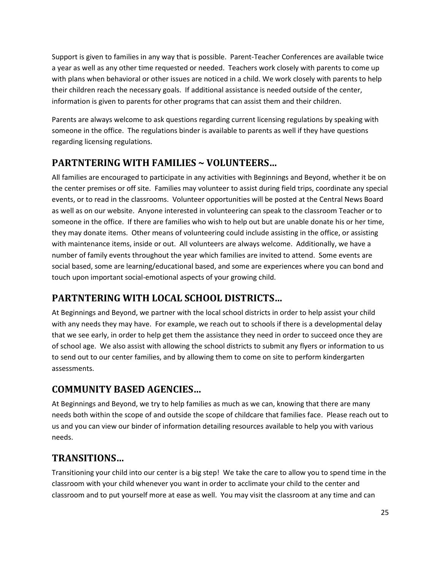Support is given to families in any way that is possible. Parent-Teacher Conferences are available twice a year as well as any other time requested or needed. Teachers work closely with parents to come up with plans when behavioral or other issues are noticed in a child. We work closely with parents to help their children reach the necessary goals. If additional assistance is needed outside of the center, information is given to parents for other programs that can assist them and their children.

Parents are always welcome to ask questions regarding current licensing regulations by speaking with someone in the office. The regulations binder is available to parents as well if they have questions regarding licensing regulations.

# <span id="page-24-0"></span>**PARTNTERING WITH FAMILIES ~ VOLUNTEERS…**

All families are encouraged to participate in any activities with Beginnings and Beyond, whether it be on the center premises or off site. Families may volunteer to assist during field trips, coordinate any special events, or to read in the classrooms. Volunteer opportunities will be posted at the Central News Board as well as on our website. Anyone interested in volunteering can speak to the classroom Teacher or to someone in the office. If there are families who wish to help out but are unable donate his or her time, they may donate items. Other means of volunteering could include assisting in the office, or assisting with maintenance items, inside or out. All volunteers are always welcome. Additionally, we have a number of family events throughout the year which families are invited to attend. Some events are social based, some are learning/educational based, and some are experiences where you can bond and touch upon important social-emotional aspects of your growing child.

# <span id="page-24-1"></span>**PARTNTERING WITH LOCAL SCHOOL DISTRICTS…**

At Beginnings and Beyond, we partner with the local school districts in order to help assist your child with any needs they may have. For example, we reach out to schools if there is a developmental delay that we see early, in order to help get them the assistance they need in order to succeed once they are of school age. We also assist with allowing the school districts to submit any flyers or information to us to send out to our center families, and by allowing them to come on site to perform kindergarten assessments.

# <span id="page-24-2"></span>**COMMUNITY BASED AGENCIES…**

At Beginnings and Beyond, we try to help families as much as we can, knowing that there are many needs both within the scope of and outside the scope of childcare that families face. Please reach out to us and you can view our binder of information detailing resources available to help you with various needs.

# <span id="page-24-3"></span>**TRANSITIONS…**

Transitioning your child into our center is a big step! We take the care to allow you to spend time in the classroom with your child whenever you want in order to acclimate your child to the center and classroom and to put yourself more at ease as well. You may visit the classroom at any time and can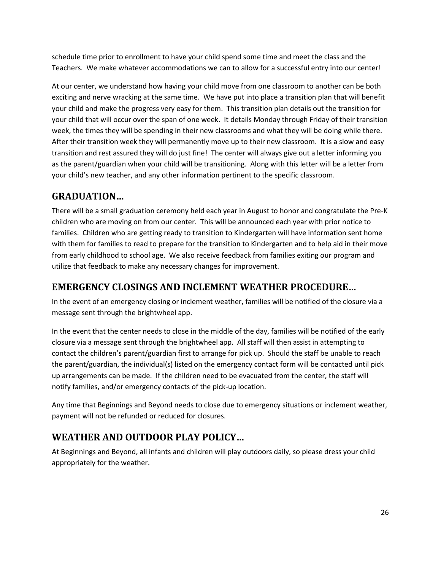schedule time prior to enrollment to have your child spend some time and meet the class and the Teachers. We make whatever accommodations we can to allow for a successful entry into our center!

At our center, we understand how having your child move from one classroom to another can be both exciting and nerve wracking at the same time. We have put into place a transition plan that will benefit your child and make the progress very easy for them. This transition plan details out the transition for your child that will occur over the span of one week. It details Monday through Friday of their transition week, the times they will be spending in their new classrooms and what they will be doing while there. After their transition week they will permanently move up to their new classroom. It is a slow and easy transition and rest assured they will do just fine! The center will always give out a letter informing you as the parent/guardian when your child will be transitioning. Along with this letter will be a letter from your child's new teacher, and any other information pertinent to the specific classroom.

# <span id="page-25-0"></span>**GRADUATION…**

There will be a small graduation ceremony held each year in August to honor and congratulate the Pre-K children who are moving on from our center. This will be announced each year with prior notice to families. Children who are getting ready to transition to Kindergarten will have information sent home with them for families to read to prepare for the transition to Kindergarten and to help aid in their move from early childhood to school age. We also receive feedback from families exiting our program and utilize that feedback to make any necessary changes for improvement.

### <span id="page-25-1"></span>**EMERGENCY CLOSINGS AND INCLEMENT WEATHER PROCEDURE…**

In the event of an emergency closing or inclement weather, families will be notified of the closure via a message sent through the brightwheel app.

In the event that the center needs to close in the middle of the day, families will be notified of the early closure via a message sent through the brightwheel app. All staff will then assist in attempting to contact the children's parent/guardian first to arrange for pick up. Should the staff be unable to reach the parent/guardian, the individual(s) listed on the emergency contact form will be contacted until pick up arrangements can be made. If the children need to be evacuated from the center, the staff will notify families, and/or emergency contacts of the pick-up location.

Any time that Beginnings and Beyond needs to close due to emergency situations or inclement weather, payment will not be refunded or reduced for closures.

# <span id="page-25-2"></span>**WEATHER AND OUTDOOR PLAY POLICY…**

At Beginnings and Beyond, all infants and children will play outdoors daily, so please dress your child appropriately for the weather.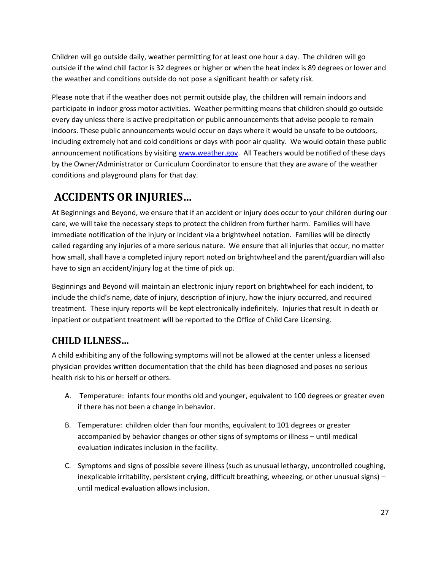Children will go outside daily, weather permitting for at least one hour a day. The children will go outside if the wind chill factor is 32 degrees or higher or when the heat index is 89 degrees or lower and the weather and conditions outside do not pose a significant health or safety risk.

Please note that if the weather does not permit outside play, the children will remain indoors and participate in indoor gross motor activities. Weather permitting means that children should go outside every day unless there is active precipitation or public announcements that advise people to remain indoors. These public announcements would occur on days where it would be unsafe to be outdoors, including extremely hot and cold conditions or days with poor air quality. We would obtain these public announcement notifications by visiting [www.weather.gov.](http://www.weather.gov/) All Teachers would be notified of these days by the Owner/Administrator or Curriculum Coordinator to ensure that they are aware of the weather conditions and playground plans for that day.

# <span id="page-26-0"></span>**ACCIDENTS OR INJURIES…**

At Beginnings and Beyond, we ensure that if an accident or injury does occur to your children during our care, we will take the necessary steps to protect the children from further harm. Families will have immediate notification of the injury or incident via a brightwheel notation. Families will be directly called regarding any injuries of a more serious nature. We ensure that all injuries that occur, no matter how small, shall have a completed injury report noted on brightwheel and the parent/guardian will also have to sign an accident/injury log at the time of pick up.

Beginnings and Beyond will maintain an electronic injury report on brightwheel for each incident, to include the child's name, date of injury, description of injury, how the injury occurred, and required treatment. These injury reports will be kept electronically indefinitely. Injuries that result in death or inpatient or outpatient treatment will be reported to the Office of Child Care Licensing.

# <span id="page-26-1"></span>**CHILD ILLNESS…**

A child exhibiting any of the following symptoms will not be allowed at the center unless a licensed physician provides written documentation that the child has been diagnosed and poses no serious health risk to his or herself or others.

- A. Temperature: infants four months old and younger, equivalent to 100 degrees or greater even if there has not been a change in behavior.
- B. Temperature: children older than four months, equivalent to 101 degrees or greater accompanied by behavior changes or other signs of symptoms or illness – until medical evaluation indicates inclusion in the facility.
- C. Symptoms and signs of possible severe illness (such as unusual lethargy, uncontrolled coughing, inexplicable irritability, persistent crying, difficult breathing, wheezing, or other unusual signs) – until medical evaluation allows inclusion.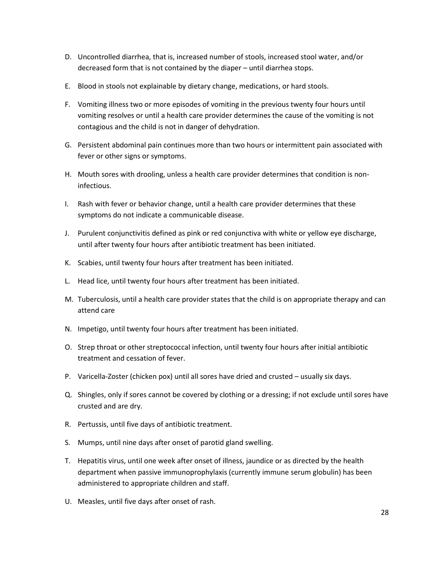- D. Uncontrolled diarrhea, that is, increased number of stools, increased stool water, and/or decreased form that is not contained by the diaper – until diarrhea stops.
- E. Blood in stools not explainable by dietary change, medications, or hard stools.
- F. Vomiting illness two or more episodes of vomiting in the previous twenty four hours until vomiting resolves or until a health care provider determines the cause of the vomiting is not contagious and the child is not in danger of dehydration.
- G. Persistent abdominal pain continues more than two hours or intermittent pain associated with fever or other signs or symptoms.
- H. Mouth sores with drooling, unless a health care provider determines that condition is noninfectious.
- I. Rash with fever or behavior change, until a health care provider determines that these symptoms do not indicate a communicable disease.
- J. Purulent conjunctivitis defined as pink or red conjunctiva with white or yellow eye discharge, until after twenty four hours after antibiotic treatment has been initiated.
- K. Scabies, until twenty four hours after treatment has been initiated.
- L. Head lice, until twenty four hours after treatment has been initiated.
- M. Tuberculosis, until a health care provider states that the child is on appropriate therapy and can attend care
- N. Impetigo, until twenty four hours after treatment has been initiated.
- O. Strep throat or other streptococcal infection, until twenty four hours after initial antibiotic treatment and cessation of fever.
- P. Varicella-Zoster (chicken pox) until all sores have dried and crusted usually six days.
- Q. Shingles, only if sores cannot be covered by clothing or a dressing; if not exclude until sores have crusted and are dry.
- R. Pertussis, until five days of antibiotic treatment.
- S. Mumps, until nine days after onset of parotid gland swelling.
- T. Hepatitis virus, until one week after onset of illness, jaundice or as directed by the health department when passive immunoprophylaxis (currently immune serum globulin) has been administered to appropriate children and staff.
- U. Measles, until five days after onset of rash.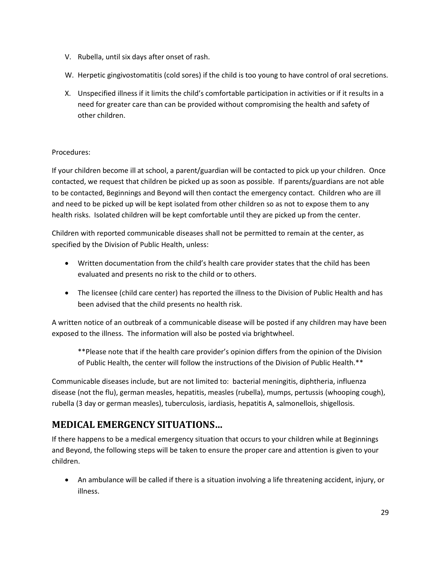- V. Rubella, until six days after onset of rash.
- W. Herpetic gingivostomatitis (cold sores) if the child is too young to have control of oral secretions.
- X. Unspecified illness if it limits the child's comfortable participation in activities or if it results in a need for greater care than can be provided without compromising the health and safety of other children.

#### Procedures:

If your children become ill at school, a parent/guardian will be contacted to pick up your children. Once contacted, we request that children be picked up as soon as possible. If parents/guardians are not able to be contacted, Beginnings and Beyond will then contact the emergency contact. Children who are ill and need to be picked up will be kept isolated from other children so as not to expose them to any health risks. Isolated children will be kept comfortable until they are picked up from the center.

Children with reported communicable diseases shall not be permitted to remain at the center, as specified by the Division of Public Health, unless:

- Written documentation from the child's health care provider states that the child has been evaluated and presents no risk to the child or to others.
- The licensee (child care center) has reported the illness to the Division of Public Health and has been advised that the child presents no health risk.

A written notice of an outbreak of a communicable disease will be posted if any children may have been exposed to the illness. The information will also be posted via brightwheel.

\*\*Please note that if the health care provider's opinion differs from the opinion of the Division of Public Health, the center will follow the instructions of the Division of Public Health.\*\*

Communicable diseases include, but are not limited to: bacterial meningitis, diphtheria, influenza disease (not the flu), german measles, hepatitis, measles (rubella), mumps, pertussis (whooping cough), rubella (3 day or german measles), tuberculosis, iardiasis, hepatitis A, salmonellois, shigellosis.

# <span id="page-28-0"></span>**MEDICAL EMERGENCY SITUATIONS…**

If there happens to be a medical emergency situation that occurs to your children while at Beginnings and Beyond, the following steps will be taken to ensure the proper care and attention is given to your children.

• An ambulance will be called if there is a situation involving a life threatening accident, injury, or illness.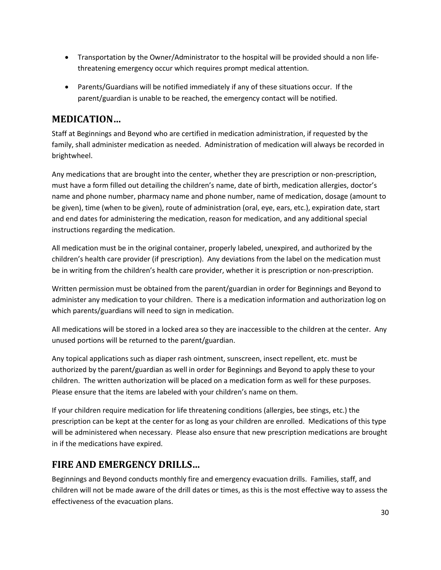- Transportation by the Owner/Administrator to the hospital will be provided should a non lifethreatening emergency occur which requires prompt medical attention.
- Parents/Guardians will be notified immediately if any of these situations occur. If the parent/guardian is unable to be reached, the emergency contact will be notified.

# <span id="page-29-0"></span>**MEDICATION…**

Staff at Beginnings and Beyond who are certified in medication administration, if requested by the family, shall administer medication as needed. Administration of medication will always be recorded in brightwheel.

Any medications that are brought into the center, whether they are prescription or non-prescription, must have a form filled out detailing the children's name, date of birth, medication allergies, doctor's name and phone number, pharmacy name and phone number, name of medication, dosage (amount to be given), time (when to be given), route of administration (oral, eye, ears, etc.), expiration date, start and end dates for administering the medication, reason for medication, and any additional special instructions regarding the medication.

All medication must be in the original container, properly labeled, unexpired, and authorized by the children's health care provider (if prescription). Any deviations from the label on the medication must be in writing from the children's health care provider, whether it is prescription or non-prescription.

Written permission must be obtained from the parent/guardian in order for Beginnings and Beyond to administer any medication to your children. There is a medication information and authorization log on which parents/guardians will need to sign in medication.

All medications will be stored in a locked area so they are inaccessible to the children at the center. Any unused portions will be returned to the parent/guardian.

Any topical applications such as diaper rash ointment, sunscreen, insect repellent, etc. must be authorized by the parent/guardian as well in order for Beginnings and Beyond to apply these to your children. The written authorization will be placed on a medication form as well for these purposes. Please ensure that the items are labeled with your children's name on them.

If your children require medication for life threatening conditions (allergies, bee stings, etc.) the prescription can be kept at the center for as long as your children are enrolled. Medications of this type will be administered when necessary. Please also ensure that new prescription medications are brought in if the medications have expired.

# <span id="page-29-1"></span>**FIRE AND EMERGENCY DRILLS…**

Beginnings and Beyond conducts monthly fire and emergency evacuation drills. Families, staff, and children will not be made aware of the drill dates or times, as this is the most effective way to assess the effectiveness of the evacuation plans.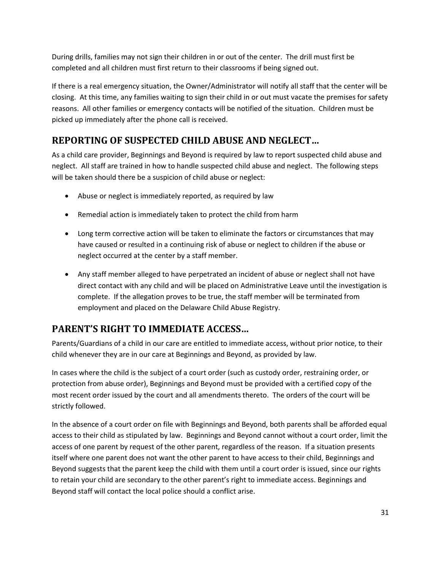During drills, families may not sign their children in or out of the center. The drill must first be completed and all children must first return to their classrooms if being signed out.

If there is a real emergency situation, the Owner/Administrator will notify all staff that the center will be closing. At this time, any families waiting to sign their child in or out must vacate the premises for safety reasons. All other families or emergency contacts will be notified of the situation. Children must be picked up immediately after the phone call is received.

# <span id="page-30-0"></span>**REPORTING OF SUSPECTED CHILD ABUSE AND NEGLECT…**

As a child care provider, Beginnings and Beyond is required by law to report suspected child abuse and neglect. All staff are trained in how to handle suspected child abuse and neglect. The following steps will be taken should there be a suspicion of child abuse or neglect:

- Abuse or neglect is immediately reported, as required by law
- Remedial action is immediately taken to protect the child from harm
- Long term corrective action will be taken to eliminate the factors or circumstances that may have caused or resulted in a continuing risk of abuse or neglect to children if the abuse or neglect occurred at the center by a staff member.
- Any staff member alleged to have perpetrated an incident of abuse or neglect shall not have direct contact with any child and will be placed on Administrative Leave until the investigation is complete. If the allegation proves to be true, the staff member will be terminated from employment and placed on the Delaware Child Abuse Registry.

# <span id="page-30-1"></span>**PARENT'S RIGHT TO IMMEDIATE ACCESS…**

Parents/Guardians of a child in our care are entitled to immediate access, without prior notice, to their child whenever they are in our care at Beginnings and Beyond, as provided by law.

In cases where the child is the subject of a court order (such as custody order, restraining order, or protection from abuse order), Beginnings and Beyond must be provided with a certified copy of the most recent order issued by the court and all amendments thereto. The orders of the court will be strictly followed.

In the absence of a court order on file with Beginnings and Beyond, both parents shall be afforded equal access to their child as stipulated by law. Beginnings and Beyond cannot without a court order, limit the access of one parent by request of the other parent, regardless of the reason. If a situation presents itself where one parent does not want the other parent to have access to their child, Beginnings and Beyond suggests that the parent keep the child with them until a court order is issued, since our rights to retain your child are secondary to the other parent's right to immediate access. Beginnings and Beyond staff will contact the local police should a conflict arise.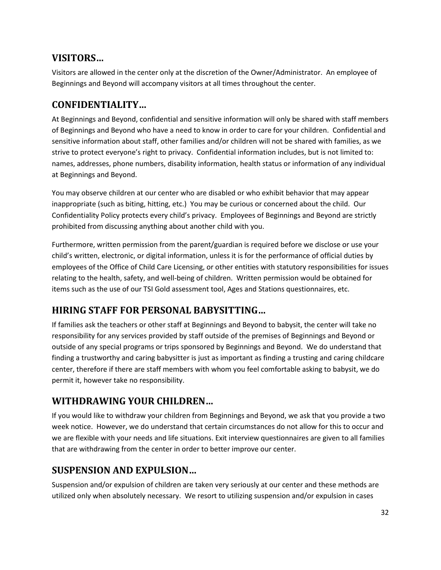### <span id="page-31-0"></span>**VISITORS…**

Visitors are allowed in the center only at the discretion of the Owner/Administrator. An employee of Beginnings and Beyond will accompany visitors at all times throughout the center.

### <span id="page-31-1"></span>**CONFIDENTIALITY…**

At Beginnings and Beyond, confidential and sensitive information will only be shared with staff members of Beginnings and Beyond who have a need to know in order to care for your children. Confidential and sensitive information about staff, other families and/or children will not be shared with families, as we strive to protect everyone's right to privacy. Confidential information includes, but is not limited to: names, addresses, phone numbers, disability information, health status or information of any individual at Beginnings and Beyond.

You may observe children at our center who are disabled or who exhibit behavior that may appear inappropriate (such as biting, hitting, etc.) You may be curious or concerned about the child. Our Confidentiality Policy protects every child's privacy. Employees of Beginnings and Beyond are strictly prohibited from discussing anything about another child with you.

Furthermore, written permission from the parent/guardian is required before we disclose or use your child's written, electronic, or digital information, unless it is for the performance of official duties by employees of the Office of Child Care Licensing, or other entities with statutory responsibilities for issues relating to the health, safety, and well-being of children. Written permission would be obtained for items such as the use of our TSI Gold assessment tool, Ages and Stations questionnaires, etc.

# <span id="page-31-2"></span>**HIRING STAFF FOR PERSONAL BABYSITTING…**

If families ask the teachers or other staff at Beginnings and Beyond to babysit, the center will take no responsibility for any services provided by staff outside of the premises of Beginnings and Beyond or outside of any special programs or trips sponsored by Beginnings and Beyond. We do understand that finding a trustworthy and caring babysitter is just as important as finding a trusting and caring childcare center, therefore if there are staff members with whom you feel comfortable asking to babysit, we do permit it, however take no responsibility.

# <span id="page-31-3"></span>**WITHDRAWING YOUR CHILDREN…**

If you would like to withdraw your children from Beginnings and Beyond, we ask that you provide a two week notice. However, we do understand that certain circumstances do not allow for this to occur and we are flexible with your needs and life situations. Exit interview questionnaires are given to all families that are withdrawing from the center in order to better improve our center.

# <span id="page-31-4"></span>**SUSPENSION AND EXPULSION…**

Suspension and/or expulsion of children are taken very seriously at our center and these methods are utilized only when absolutely necessary. We resort to utilizing suspension and/or expulsion in cases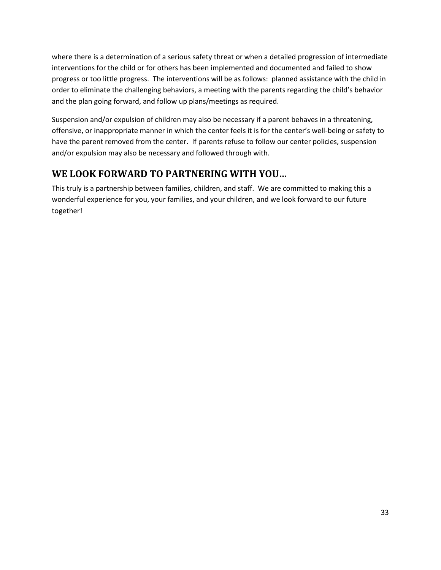where there is a determination of a serious safety threat or when a detailed progression of intermediate interventions for the child or for others has been implemented and documented and failed to show progress or too little progress. The interventions will be as follows: planned assistance with the child in order to eliminate the challenging behaviors, a meeting with the parents regarding the child's behavior and the plan going forward, and follow up plans/meetings as required.

Suspension and/or expulsion of children may also be necessary if a parent behaves in a threatening, offensive, or inappropriate manner in which the center feels it is for the center's well-being or safety to have the parent removed from the center. If parents refuse to follow our center policies, suspension and/or expulsion may also be necessary and followed through with.

# <span id="page-32-0"></span>**WE LOOK FORWARD TO PARTNERING WITH YOU…**

This truly is a partnership between families, children, and staff. We are committed to making this a wonderful experience for you, your families, and your children, and we look forward to our future together!